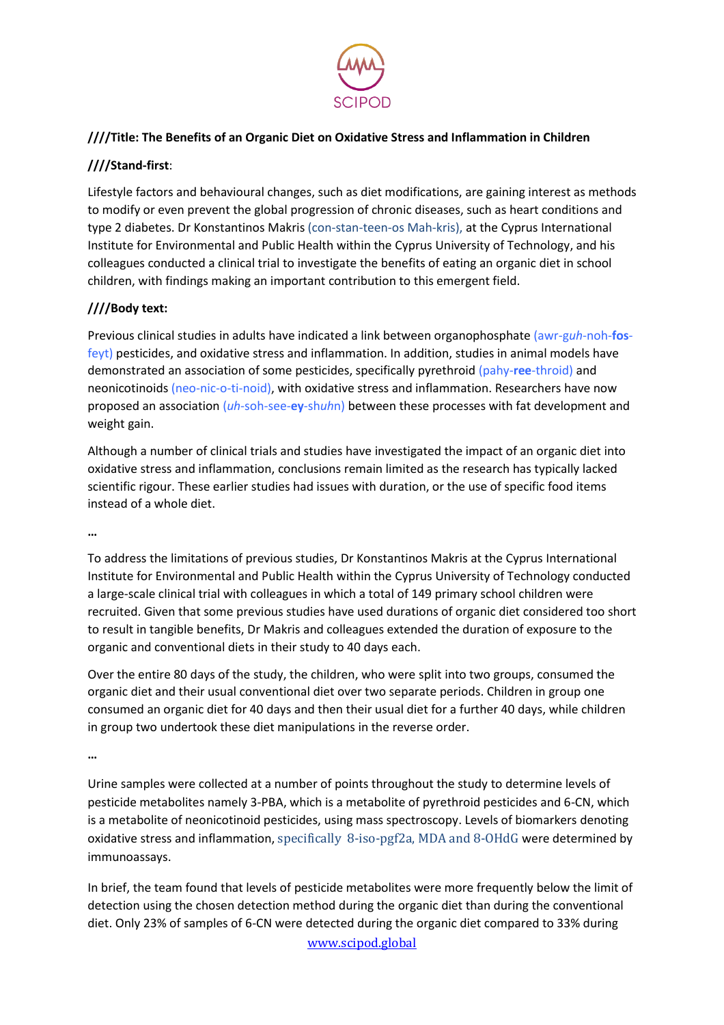

# **////Title: The Benefits of an Organic Diet on Oxidative Stress and Inflammation in Children**

# **////Stand-first**:

Lifestyle factors and behavioural changes, such as diet modifications, are gaining interest as methods to modify or even prevent the global progression of chronic diseases, such as heart conditions and type 2 diabetes. Dr Konstantinos Makris (con-stan-teen-os Mah-kris), at the Cyprus International Institute for Environmental and Public Health within the Cyprus University of Technology, and his colleagues conducted a clinical trial to investigate the benefits of eating an organic diet in school children, with findings making an important contribution to this emergent field.

## **////Body text:**

Previous clinical studies in adults have indicated a link between organophosphate (awr-g*uh*-noh-**fos**feyt) pesticides, and oxidative stress and inflammation. In addition, studies in animal models have demonstrated an association of some pesticides, specifically pyrethroid (pahy-**ree**-throid) and neonicotinoids (neo-nic-o-ti-noid), with oxidative stress and inflammation. Researchers have now proposed an association (*uh*-soh-see-**ey**-sh*uh*n) between these processes with fat development and weight gain.

Although a number of clinical trials and studies have investigated the impact of an organic diet into oxidative stress and inflammation, conclusions remain limited as the research has typically lacked scientific rigour. These earlier studies had issues with duration, or the use of specific food items instead of a whole diet.

**…**

To address the limitations of previous studies, Dr Konstantinos Makris at the Cyprus International Institute for Environmental and Public Health within the Cyprus University of Technology conducted a large-scale clinical trial with colleagues in which a total of 149 primary school children were recruited. Given that some previous studies have used durations of organic diet considered too short to result in tangible benefits, Dr Makris and colleagues extended the duration of exposure to the organic and conventional diets in their study to 40 days each.

Over the entire 80 days of the study, the children, who were split into two groups, consumed the organic diet and their usual conventional diet over two separate periods. Children in group one consumed an organic diet for 40 days and then their usual diet for a further 40 days, while children in group two undertook these diet manipulations in the reverse order.

**…**

Urine samples were collected at a number of points throughout the study to determine levels of pesticide metabolites namely 3-PBA, which is a metabolite of pyrethroid pesticides and 6-CN, which is a metabolite of neonicotinoid pesticides, using mass spectroscopy. Levels of biomarkers denoting oxidative stress and inflammation, specifically 8-iso-pgf2a, MDA and 8-OHdG were determined by immunoassays.

In brief, the team found that levels of pesticide metabolites were more frequently below the limit of detection using the chosen detection method during the organic diet than during the conventional diet. Only 23% of samples of 6-CN were detected during the organic diet compared to 33% during

[www.scipod.global](http://www.scipod.global/)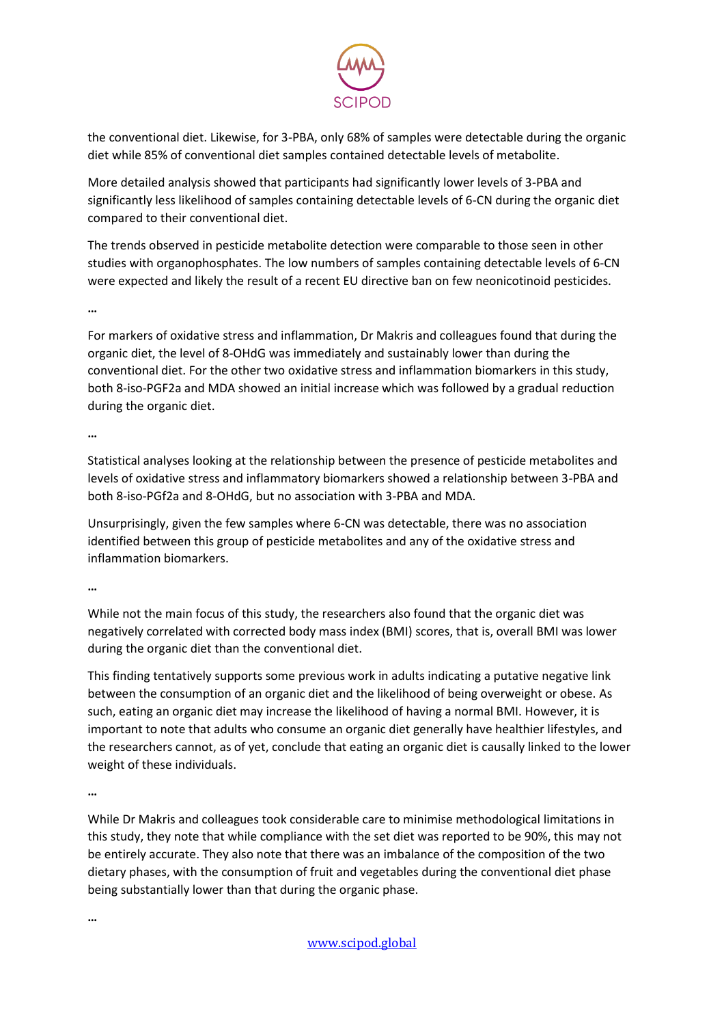

the conventional diet. Likewise, for 3-PBA, only 68% of samples were detectable during the organic diet while 85% of conventional diet samples contained detectable levels of metabolite.

More detailed analysis showed that participants had significantly lower levels of 3-PBA and significantly less likelihood of samples containing detectable levels of 6-CN during the organic diet compared to their conventional diet.

The trends observed in pesticide metabolite detection were comparable to those seen in other studies with organophosphates. The low numbers of samples containing detectable levels of 6-CN were expected and likely the result of a recent EU directive ban on few neonicotinoid pesticides.

**…**

For markers of oxidative stress and inflammation, Dr Makris and colleagues found that during the organic diet, the level of 8-OHdG was immediately and sustainably lower than during the conventional diet. For the other two oxidative stress and inflammation biomarkers in this study, both 8-iso-PGF2a and MDA showed an initial increase which was followed by a gradual reduction during the organic diet.

**…**

Statistical analyses looking at the relationship between the presence of pesticide metabolites and levels of oxidative stress and inflammatory biomarkers showed a relationship between 3-PBA and both 8-iso-PGf2a and 8-OHdG, but no association with 3-PBA and MDA.

Unsurprisingly, given the few samples where 6-CN was detectable, there was no association identified between this group of pesticide metabolites and any of the oxidative stress and inflammation biomarkers.

**…**

While not the main focus of this study, the researchers also found that the organic diet was negatively correlated with corrected body mass index (BMI) scores, that is, overall BMI was lower during the organic diet than the conventional diet.

This finding tentatively supports some previous work in adults indicating a putative negative link between the consumption of an organic diet and the likelihood of being overweight or obese. As such, eating an organic diet may increase the likelihood of having a normal BMI. However, it is important to note that adults who consume an organic diet generally have healthier lifestyles, and the researchers cannot, as of yet, conclude that eating an organic diet is causally linked to the lower weight of these individuals.

**…**

While Dr Makris and colleagues took considerable care to minimise methodological limitations in this study, they note that while compliance with the set diet was reported to be 90%, this may not be entirely accurate. They also note that there was an imbalance of the composition of the two dietary phases, with the consumption of fruit and vegetables during the conventional diet phase being substantially lower than that during the organic phase.

**…**